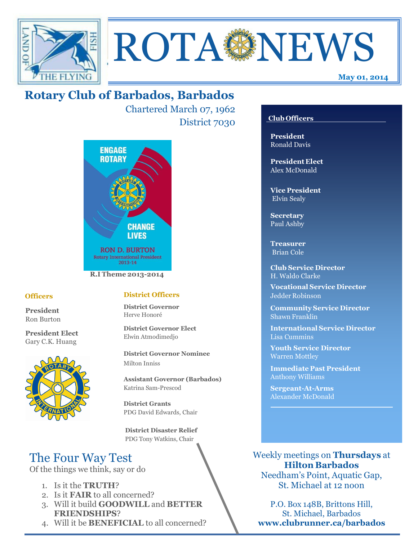



Chartered March 07, 1962 District 7030



#### **Officers**

President Ron Burton

President Elect Gary C.K. Huang



## District Officers

District Governor Herve Honoré

District Governor Elect Elwin Atmodimedjo

District Governor Nominee Milton Inniss

Assistant Governor (Barbados) Katrina Sam-Prescod

District Grants PDG David Edwards, Chair

 District Disaster Relief PDG Tony Watkins, Chair

# The Four Way Test

Of the things we think, say or do

- 1. Is it the TRUTH?
- 2. Is it FAIR to all concerned?
- 3. Will it build GOODWILL and BETTER FRIENDSHIPS?
- 4. Will it be BENEFICIAL to all concerned?

## Club Officers

May 01, 2014

President Ronald Davis

President Elect Alex McDonald

Vice President Elvin Sealy

**Secretary** Paul Ashby

Treasurer Brian Cole

Club Service Director H. Waldo Clarke

Vocational Service Director Jedder Robinson

Community Service Director Shawn Franklin

International Service Director Lisa Cummins

Youth Service Director Warren Mottley

Immediate Past President Anthony Williams

Sergeant-At-Arms Alexander McDonald

Weekly meetings on Thursdays at Hilton Barbados Needham's Point, Aquatic Gap,

St. Michael at 12 noon

P.O. Box 148B, Brittons Hill, St. Michael, Barbados www.clubrunner.ca/barbados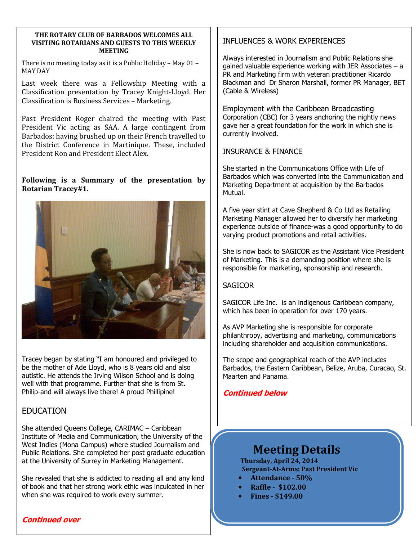#### THE ROTARY CLUB OF BARBADOS WELCOMES ALL VISITING ROTARIANS AND GUESTS TO THIS WEEKLY MEETING

There is no meeting today as it is a Public Holiday – May 01 – MAY DAY

Last week there was a Fellowship Meeting with a Classification presentation by Tracey Knight-Lloyd. Her Classification is Business Services – Marketing.

Past President Roger chaired the meeting with Past President Vic acting as SAA. A large contingent from Barbados; having brushed up on their French travelled to the District Conference in Martinique. These, included President Ron and President Elect Alex.

#### Following is a Summary of the presentation by Rotarian Tracey#1.



Tracey began by stating "I am honoured and privileged to be the mother of Ade Lloyd, who is 8 years old and also autistic. He attends the Irving Wilson School and is doing well with that programme. Further that she is from St. Philip-and will always live there! A proud Phillipine!

## **FDUCATION**

She attended Queens College, CARIMAC – Caribbean Institute of Media and Communication, the University of the West Indies (Mona Campus) where studied Journalism and Public Relations. She completed her post graduate education at the University of Surrey in Marketing Management.

She revealed that she is addicted to reading all and any kind of book and that her strong work ethic was inculcated in her when she was required to work every summer.

## INFLUENCES & WORK EXPERIENCES

֡֡֡

Always interested in Journalism and Public Relations she gained valuable experience working with JER Associates – a PR and Marketing firm with veteran practitioner Ricardo Blackman and Dr Sharon Marshall, former PR Manager, BET (Cable & Wireless)

Employment with the Caribbean Broadcasting Corporation (CBC) for 3 years anchoring the nightly news gave her a great foundation for the work in which she is currently involved.

#### INSURANCE & FINANCE

She started in the Communications Office with Life of Barbados which was converted into the Communication and Marketing Department at acquisition by the Barbados Mutual.

A five year stint at Cave Shepherd & Co Ltd as Retailing Marketing Manager allowed her to diversify her marketing experience outside of finance-was a good opportunity to do varying product promotions and retail activities.

She is now back to SAGICOR as the Assistant Vice President of Marketing. This is a demanding position where she is responsible for marketing, sponsorship and research.

## **SAGICOR**

SAGICOR Life Inc. is an indigenous Caribbean company, which has been in operation for over 170 years.

As AVP Marketing she is responsible for corporate philanthropy, advertising and marketing, communications including shareholder and acquisition communications.

The scope and geographical reach of the AVP includes Barbados, the Eastern Caribbean, Belize, Aruba, Curacao, St. Maarten and Panama.

## Continued below

## Meeting Details

Thursday, April 24, 2014 Sergeant-At-Arms: Past President Vic

- Attendance 50%
- Raffle \$102.00
- Fines \$149.00

#### Continued over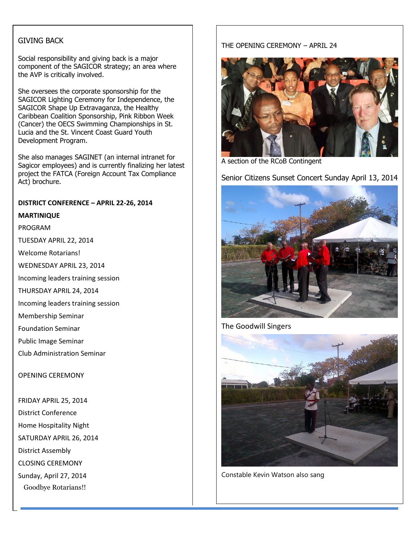#### GIVING BACK

Social responsibility and giving back is a major<br>companent of the SACICOD strategy: an area u component of the SAGICOR strategy; an area where the AVP is critically involved.

She oversees the corporate sponsorship for the SAGICOR Lighting Ceremony for Independence, the SAGICOR Shape Up Extravaganza, the Healthy Caribbean Coalition Sponsorship, Pink Ribbon Week (Cancer) the OECS Swimming Championships in St. Lucia and the St. Vincent Coast Guard Youth Development Program.

She also manages SAGINET (an internal intranet for Sagicor employees) and is currently finalizing her latest project the FATCA (Foreign Account Tax Compliance Act) brochure.

#### DISTRICT CONFERENCE – APRIL 22-26, 2014

#### MARTINIQUE

#### PROGRAM

TUESDAY APRIL 22, 2014

Welcome Rotarians!

WEDNESDAY APRIL 23, 2014

Incoming leaders training session

THURSDAY APRIL 24, 2014

Incoming leaders training session

Membership Seminar

Foundation Seminar

Public Image Seminar

Club Administration Seminar

#### OPENING CEREMONY

FRIDAY APRIL 25, 2014 District Conference Home Hospitality Night SATURDAY APRIL 26, 2014 District Assembly CLOSING CEREMONY Sunday, April 27, 2014 Goodbye Rotarians!!

#### THE OPENING CEREMONY – APRIL 24



A section of the RCoB Contingent

Senior Citizens Sunset Concert Sunday April 13, 2014



The Goodwill Singers



Constable Kevin Watson also sang